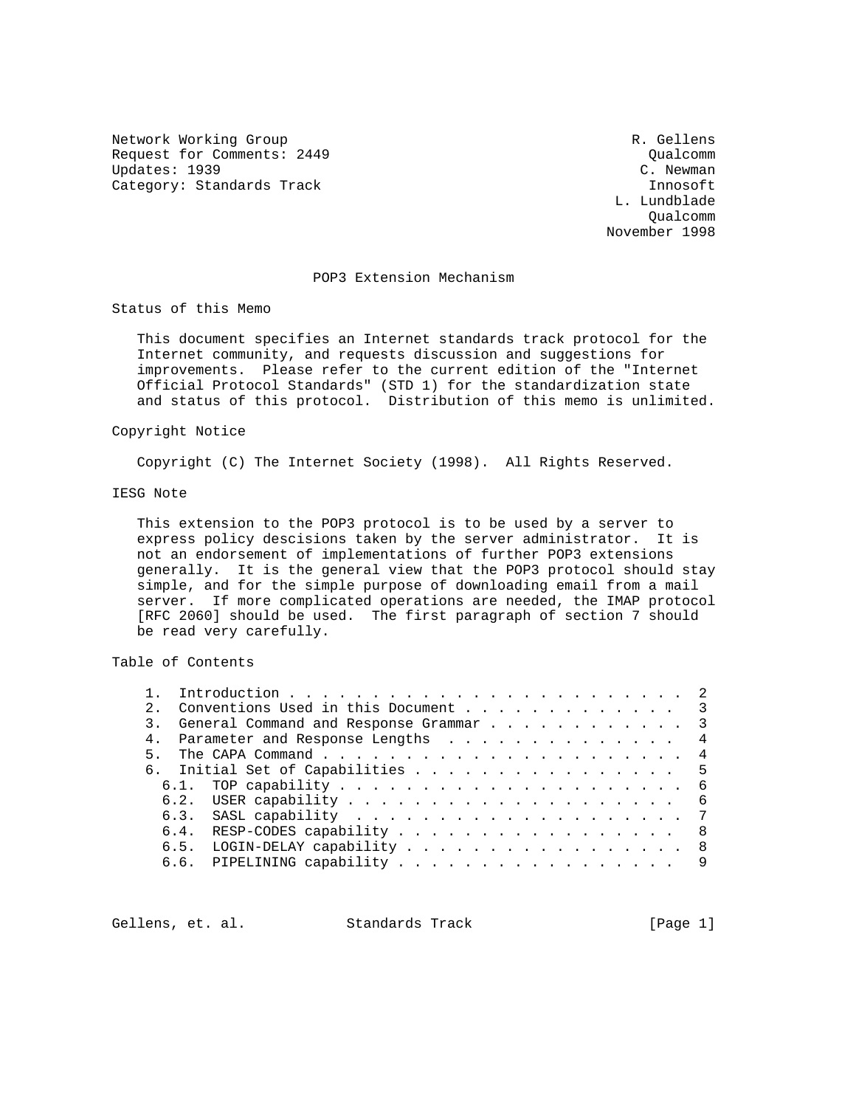Network Working Group and the set of the set of the set of the R. Gellens Request for Comments: 2449 Cualcomm Updates: 1939 C. Newman Category: Standards Track Innosoft Innosoft

 L. Lundblade Qualcomm November 1998

#### POP3 Extension Mechanism

Status of this Memo

 This document specifies an Internet standards track protocol for the Internet community, and requests discussion and suggestions for improvements. Please refer to the current edition of the "Internet Official Protocol Standards" (STD 1) for the standardization state and status of this protocol. Distribution of this memo is unlimited.

#### Copyright Notice

Copyright (C) The Internet Society (1998). All Rights Reserved.

## IESG Note

 This extension to the POP3 protocol is to be used by a server to express policy descisions taken by the server administrator. It is not an endorsement of implementations of further POP3 extensions generally. It is the general view that the POP3 protocol should stay simple, and for the simple purpose of downloading email from a mail server. If more complicated operations are needed, the IMAP protocol [RFC 2060] should be used. The first paragraph of section 7 should be read very carefully.

# Table of Contents

| 2. Conventions Used in this Document 3    |  |
|-------------------------------------------|--|
| 3. General Command and Response Grammar 3 |  |
| 4. Parameter and Response Lengths 4       |  |
|                                           |  |
| 6. Initial Set of Capabilities 5          |  |
|                                           |  |
|                                           |  |
|                                           |  |
| RESP-CODES capability 8<br>6.4.           |  |
| 6.5. LOGIN-DELAY capability 8             |  |
| 6.6. PIPELINING capability 9              |  |

Gellens, et. al. Standards Track [Page 1]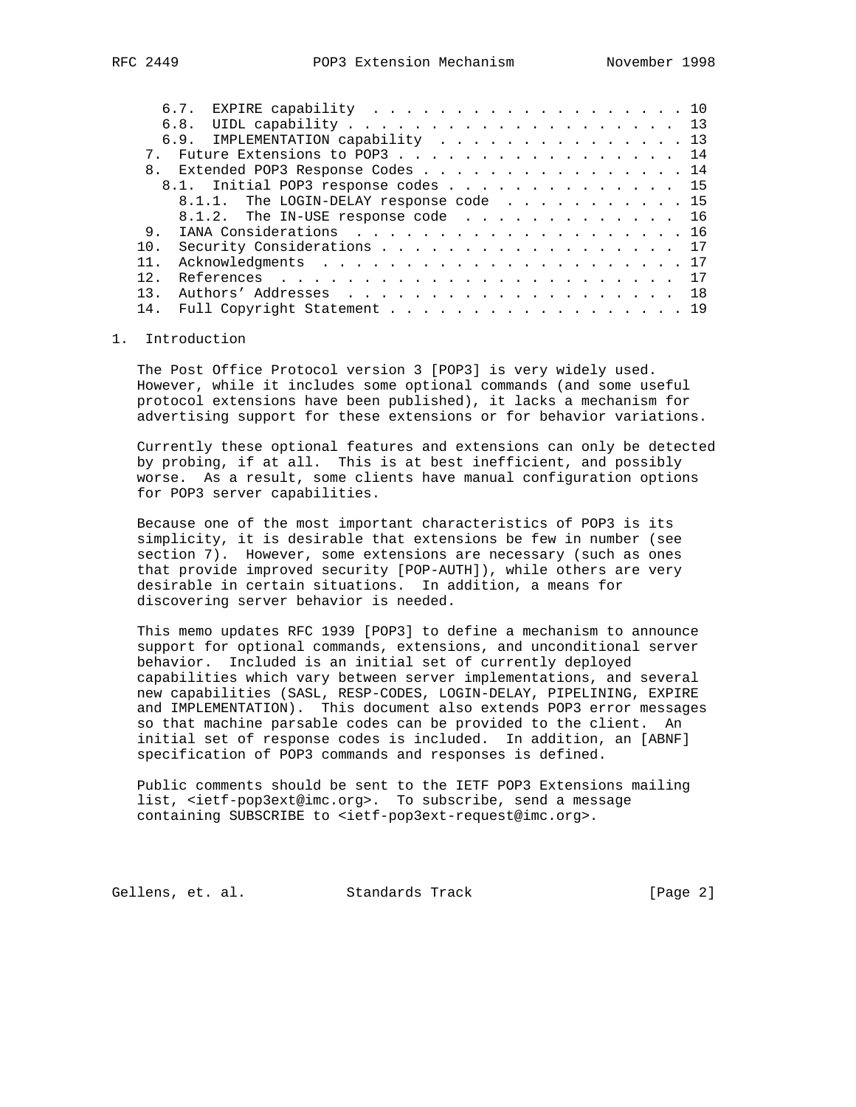| 6.7. EXPIRE capability 10           |                                                                                                             |
|-------------------------------------|-------------------------------------------------------------------------------------------------------------|
|                                     |                                                                                                             |
| 6.9. IMPLEMENTATION capability 13   |                                                                                                             |
| 7. Future Extensions to POP3 14     |                                                                                                             |
| 8. Extended POP3 Response Codes 14  |                                                                                                             |
| 8.1. Initial POP3 response codes 15 |                                                                                                             |
|                                     |                                                                                                             |
|                                     |                                                                                                             |
|                                     |                                                                                                             |
| 10.                                 |                                                                                                             |
|                                     |                                                                                                             |
|                                     |                                                                                                             |
|                                     |                                                                                                             |
| 14. Full Copyright Statement 19     |                                                                                                             |
|                                     | 8.1.1. The LOGIN-DELAY response code 15<br>8.1.2. The IN-USE response code 16<br>Security Considerations 17 |

### 1. Introduction

 The Post Office Protocol version 3 [POP3] is very widely used. However, while it includes some optional commands (and some useful protocol extensions have been published), it lacks a mechanism for advertising support for these extensions or for behavior variations.

 Currently these optional features and extensions can only be detected by probing, if at all. This is at best inefficient, and possibly worse. As a result, some clients have manual configuration options for POP3 server capabilities.

 Because one of the most important characteristics of POP3 is its simplicity, it is desirable that extensions be few in number (see section 7). However, some extensions are necessary (such as ones that provide improved security [POP-AUTH]), while others are very desirable in certain situations. In addition, a means for discovering server behavior is needed.

 This memo updates RFC 1939 [POP3] to define a mechanism to announce support for optional commands, extensions, and unconditional server behavior. Included is an initial set of currently deployed capabilities which vary between server implementations, and several new capabilities (SASL, RESP-CODES, LOGIN-DELAY, PIPELINING, EXPIRE and IMPLEMENTATION). This document also extends POP3 error messages so that machine parsable codes can be provided to the client. An initial set of response codes is included. In addition, an [ABNF] specification of POP3 commands and responses is defined.

 Public comments should be sent to the IETF POP3 Extensions mailing list, <ietf-pop3ext@imc.org>. To subscribe, send a message containing SUBSCRIBE to <ietf-pop3ext-request@imc.org>.

Gellens, et. al. Standards Track [Page 2]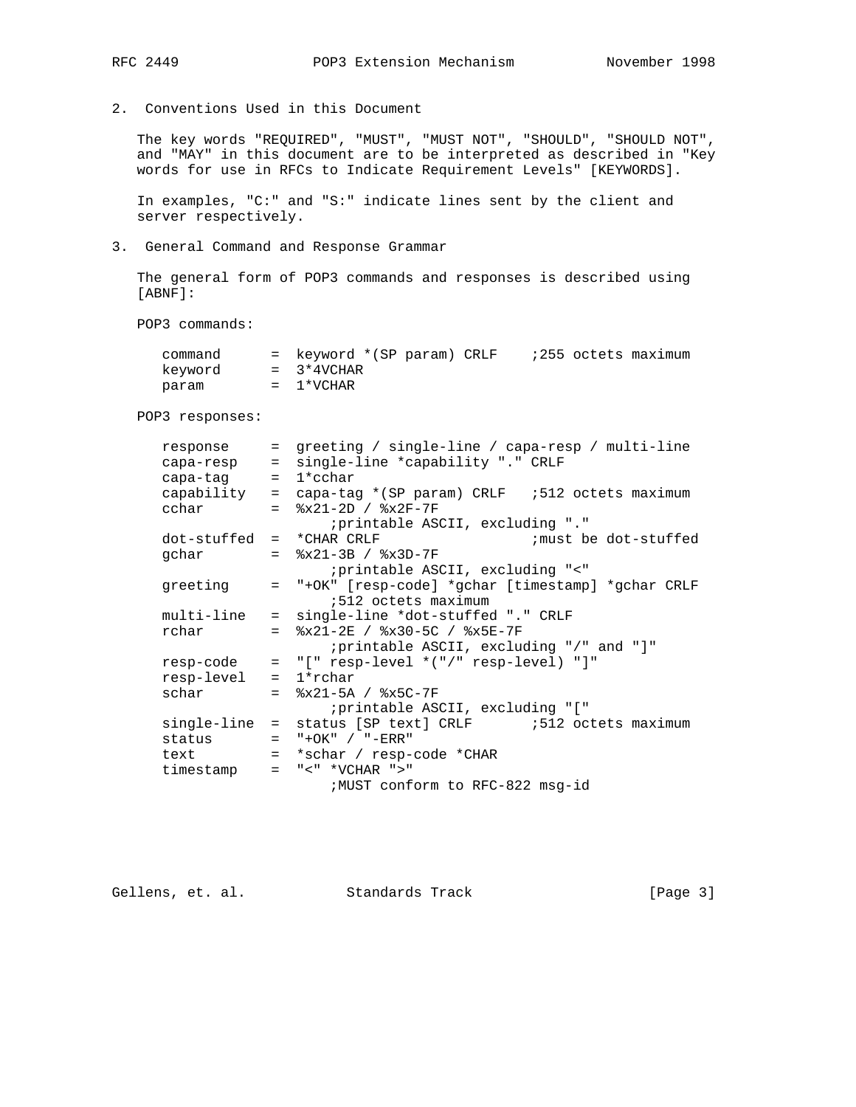2. Conventions Used in this Document

 The key words "REQUIRED", "MUST", "MUST NOT", "SHOULD", "SHOULD NOT", and "MAY" in this document are to be interpreted as described in "Key words for use in RFCs to Indicate Requirement Levels" [KEYWORDS].

 In examples, "C:" and "S:" indicate lines sent by the client and server respectively.

3. General Command and Response Grammar

 The general form of POP3 commands and responses is described using [ABNF]:

POP3 commands:

| command | = keyword *(SP param) CRLF | <i>i</i> 255 octets maximum |
|---------|----------------------------|-----------------------------|
| kevword | $= 3*4$ VCHAR              |                             |
| param   | $= 1*VCHAR$                |                             |

POP3 responses:

|                  | = qreeting / single-line / capa-resp / multi-line              |
|------------------|----------------------------------------------------------------|
| capa-resp        | = single-line *capability "." CRLF                             |
| capa-taq         | $= 1*cchar$                                                    |
|                  | capability = capa-tag $*(SP~param)$ CRLF $:512$ octets maximum |
|                  | $=$ $8x21-2D / 8x2F-7F$                                        |
|                  | ; iprintable ASCII, excluding "."                              |
|                  | $dot-stuffled = *CHAR CRLF$<br>; must be dot-stuffed           |
|                  | $=$ $\frac{8x21-3B}{}$ / $\frac{8x3D-7F}{}$                    |
|                  | ; printable ASCII, excluding "<"                               |
|                  | = "+OK" [resp-code] *gchar [timestamp] *gchar CRLF             |
|                  | :512 octets maximum                                            |
| multi-line       | = single-line *dot-stuffed "." CRLF                            |
|                  | $=$ $8x21-2E$ / $8x30-5C$ / $8x5E-7F$                          |
|                  | ; printable ASCII, excluding "/" and "]"                       |
| resp-code        | = "[" resp-level *("/" resp-level) "]"                         |
|                  | $= 1*$ rchar                                                   |
|                  | $=$ $8x21-5A$ / $8x5C-7F$                                      |
|                  | ; printable ASCII, excluding "["                               |
| single-line      |                                                                |
|                  | $=$ "+OK" / "-ERR"                                             |
|                  | $text$ = $*schar / resp-code *CHAR$                            |
| timestamp<br>$=$ | $"$ <" *VCHAR ">"                                              |
|                  | <i>INUST</i> conform to RFC-822 msg-id                         |
|                  |                                                                |

Gellens, et. al. Standards Track [Page 3]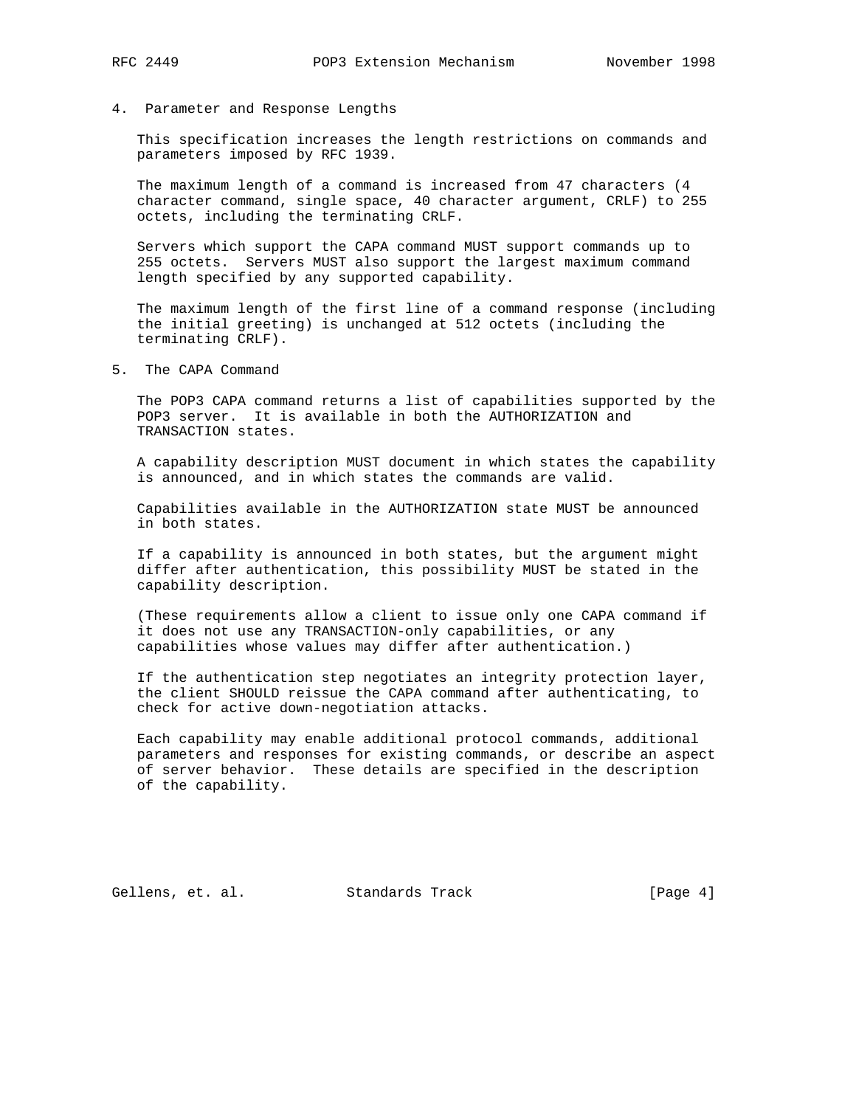4. Parameter and Response Lengths

 This specification increases the length restrictions on commands and parameters imposed by RFC 1939.

 The maximum length of a command is increased from 47 characters (4 character command, single space, 40 character argument, CRLF) to 255 octets, including the terminating CRLF.

 Servers which support the CAPA command MUST support commands up to 255 octets. Servers MUST also support the largest maximum command length specified by any supported capability.

 The maximum length of the first line of a command response (including the initial greeting) is unchanged at 512 octets (including the terminating CRLF).

5. The CAPA Command

 The POP3 CAPA command returns a list of capabilities supported by the POP3 server. It is available in both the AUTHORIZATION and TRANSACTION states.

 A capability description MUST document in which states the capability is announced, and in which states the commands are valid.

 Capabilities available in the AUTHORIZATION state MUST be announced in both states.

 If a capability is announced in both states, but the argument might differ after authentication, this possibility MUST be stated in the capability description.

 (These requirements allow a client to issue only one CAPA command if it does not use any TRANSACTION-only capabilities, or any capabilities whose values may differ after authentication.)

 If the authentication step negotiates an integrity protection layer, the client SHOULD reissue the CAPA command after authenticating, to check for active down-negotiation attacks.

 Each capability may enable additional protocol commands, additional parameters and responses for existing commands, or describe an aspect of server behavior. These details are specified in the description of the capability.

Gellens, et. al. Standards Track [Page 4]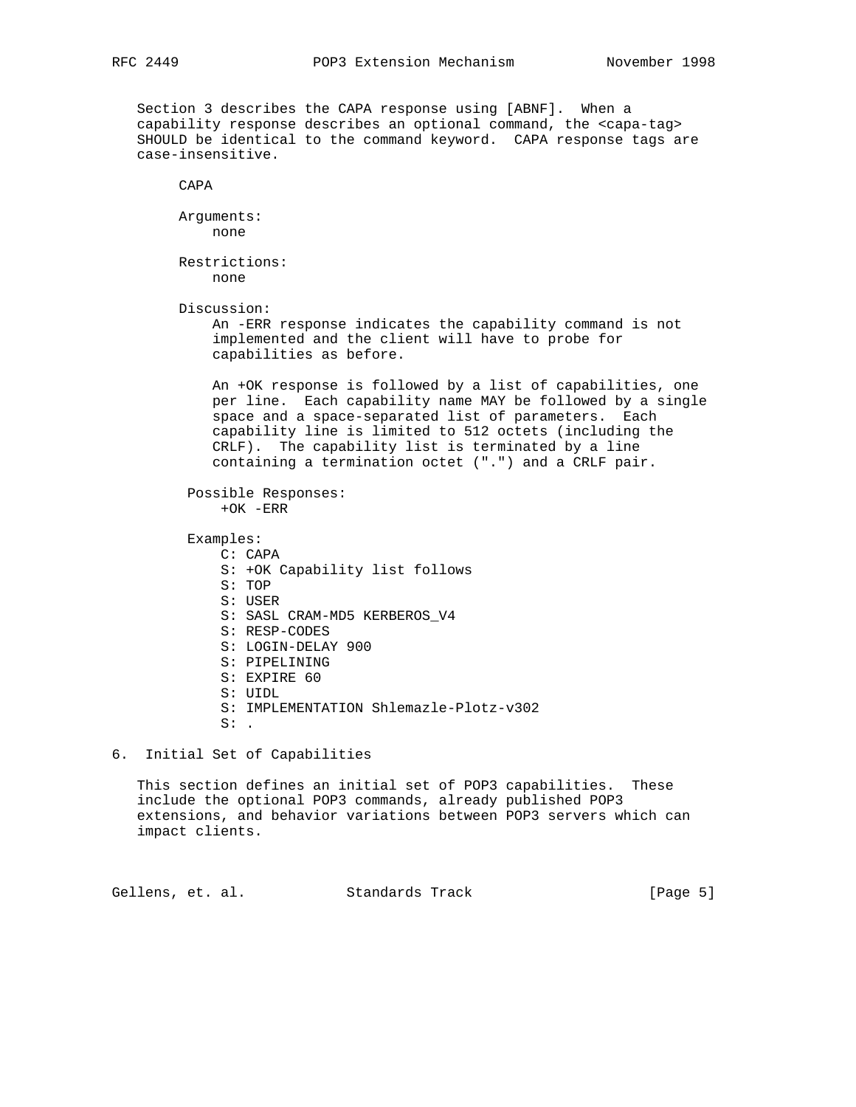Section 3 describes the CAPA response using [ABNF]. When a capability response describes an optional command, the <capa-tag> SHOULD be identical to the command keyword. CAPA response tags are case-insensitive. CAPA Arguments: none Restrictions: none Discussion: An -ERR response indicates the capability command is not implemented and the client will have to probe for capabilities as before. An +OK response is followed by a list of capabilities, one per line. Each capability name MAY be followed by a single space and a space-separated list of parameters. Each capability line is limited to 512 octets (including the CRLF). The capability list is terminated by a line containing a termination octet (".") and a CRLF pair. Possible Responses: +OK -ERR Examples: C: CAPA S: +OK Capability list follows S: TOP S: USER S: SASL CRAM-MD5 KERBEROS\_V4 S: RESP-CODES S: LOGIN-DELAY 900 S: PIPELINING S: EXPIRE 60 S: UIDL S: IMPLEMENTATION Shlemazle-Plotz-v302  $S:$  . 6. Initial Set of Capabilities

 This section defines an initial set of POP3 capabilities. These include the optional POP3 commands, already published POP3 extensions, and behavior variations between POP3 servers which can impact clients.

Gellens, et. al. Standards Track [Page 5]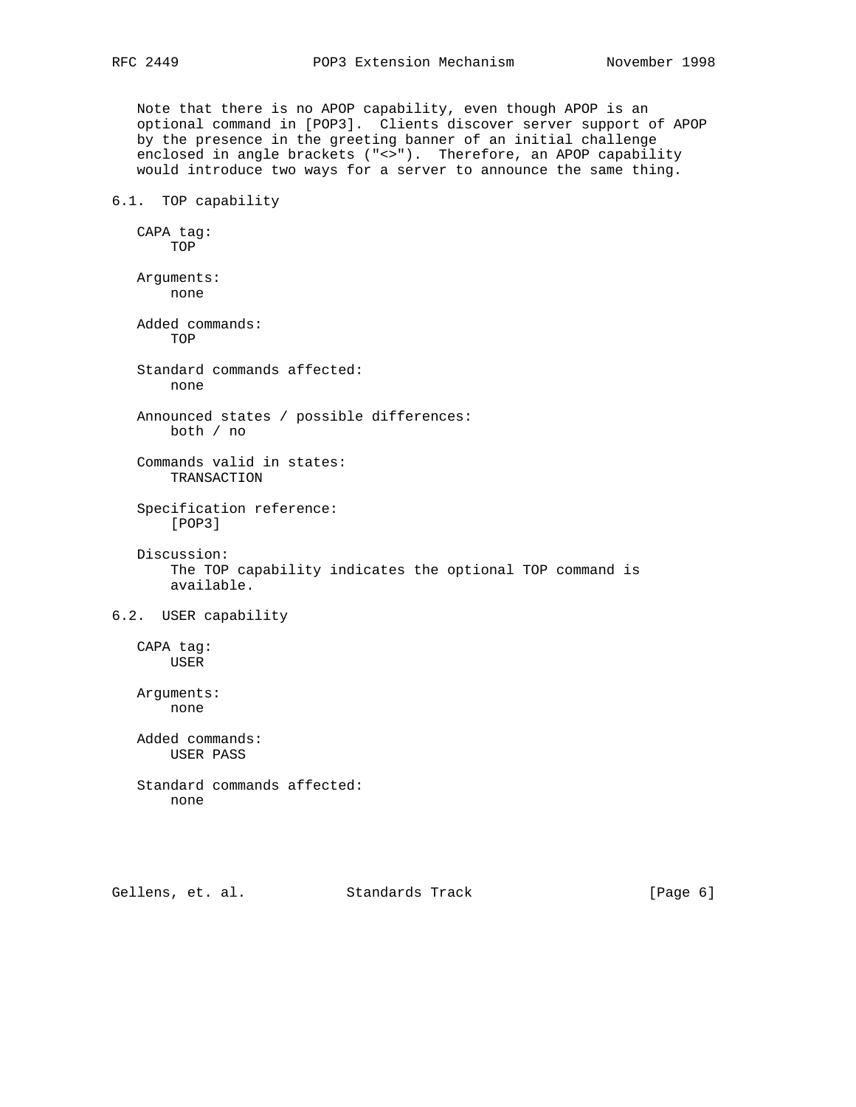Note that there is no APOP capability, even though APOP is an optional command in [POP3]. Clients discover server support of APOP by the presence in the greeting banner of an initial challenge enclosed in angle brackets ("<>"). Therefore, an APOP capability would introduce two ways for a server to announce the same thing.

# 6.1. TOP capability

 CAPA tag: TOP Arguments: none Added commands: TOP Standard commands affected: none Announced states / possible differences: both / no Commands valid in states: TRANSACTION Specification reference: [POP3] Discussion: The TOP capability indicates the optional TOP command is available. 6.2. USER capability CAPA tag: USER Arguments: none Added commands: USER PASS Standard commands affected: none

Gellens, et. al. Standards Track [Page 6]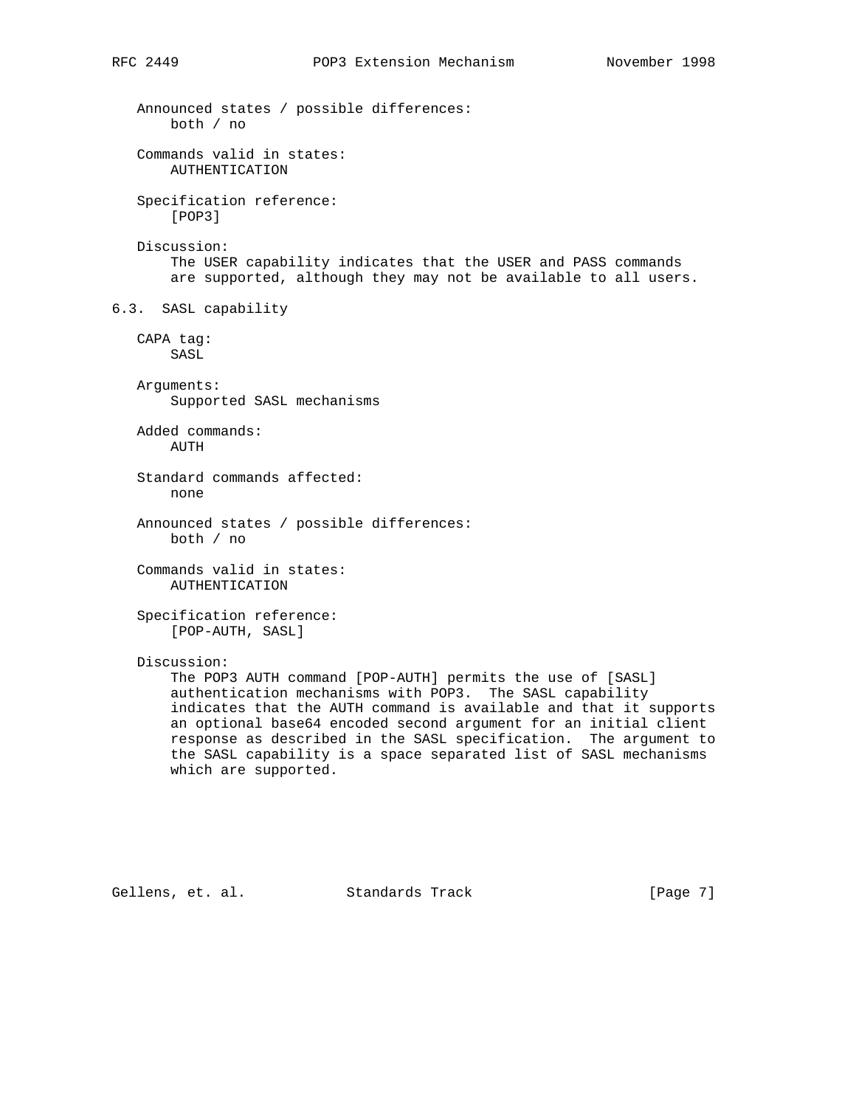Announced states / possible differences: both / no Commands valid in states: AUTHENTICATION Specification reference: [POP3] Discussion: The USER capability indicates that the USER and PASS commands are supported, although they may not be available to all users. 6.3. SASL capability CAPA tag: SASL Arguments: Supported SASL mechanisms Added commands: AUTH Standard commands affected: none Announced states / possible differences: both / no Commands valid in states: AUTHENTICATION Specification reference: [POP-AUTH, SASL] Discussion: The POP3 AUTH command [POP-AUTH] permits the use of [SASL] authentication mechanisms with POP3. The SASL capability indicates that the AUTH command is available and that it supports an optional base64 encoded second argument for an initial client response as described in the SASL specification. The argument to the SASL capability is a space separated list of SASL mechanisms which are supported.

Gellens, et. al. Standards Track [Page 7]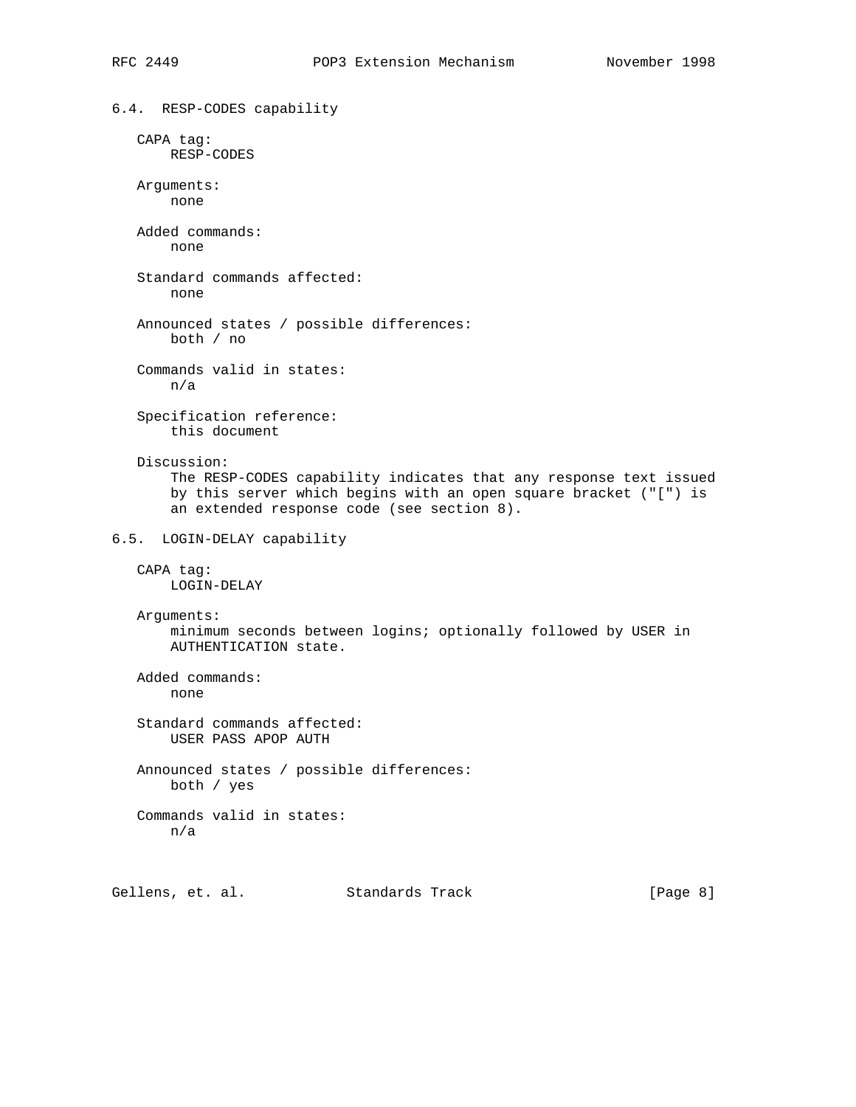6.4. RESP-CODES capability CAPA tag: RESP-CODES Arguments: none Added commands: none Standard commands affected: none Announced states / possible differences: both / no Commands valid in states: n/a Specification reference: this document Discussion: The RESP-CODES capability indicates that any response text issued by this server which begins with an open square bracket ("[") is an extended response code (see section 8). 6.5. LOGIN-DELAY capability CAPA tag: LOGIN-DELAY Arguments: minimum seconds between logins; optionally followed by USER in AUTHENTICATION state. Added commands: none Standard commands affected: USER PASS APOP AUTH Announced states / possible differences: both / yes Commands valid in states: n/a

Gellens, et. al. Standards Track [Page 8]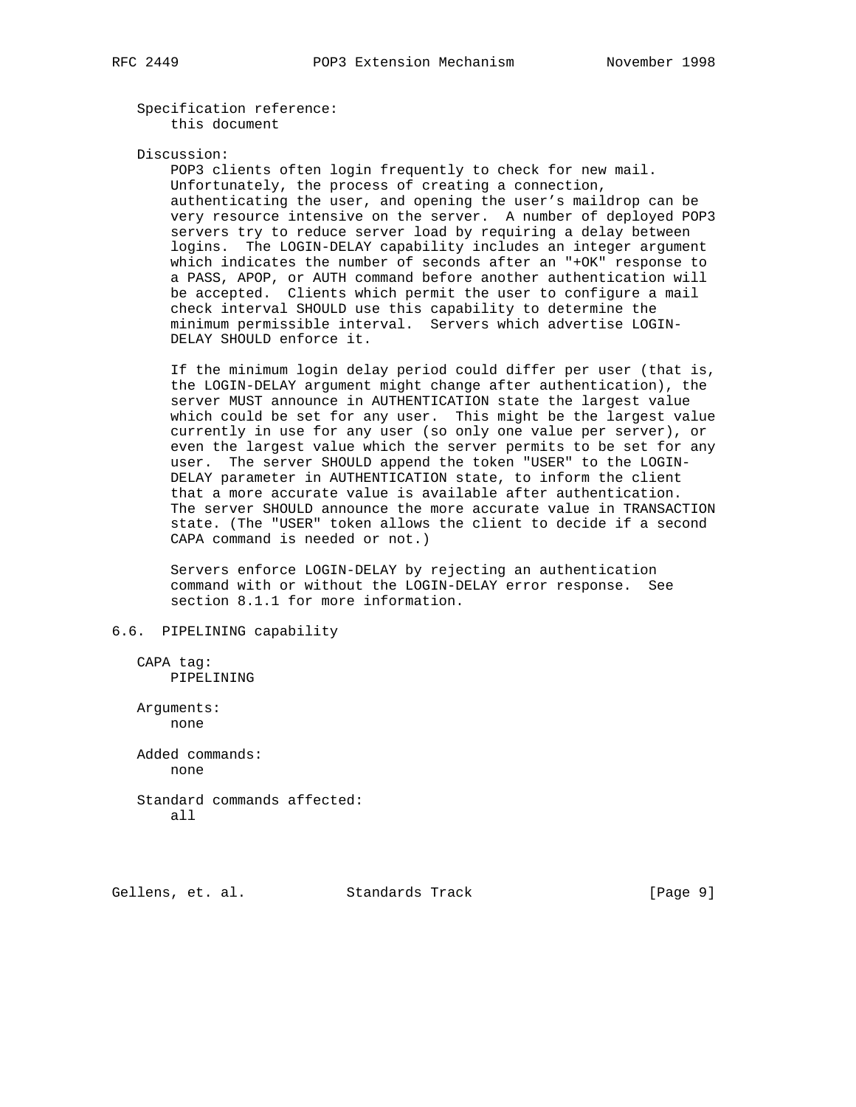Specification reference: this document

#### Discussion:

 POP3 clients often login frequently to check for new mail. Unfortunately, the process of creating a connection, authenticating the user, and opening the user's maildrop can be very resource intensive on the server. A number of deployed POP3 servers try to reduce server load by requiring a delay between logins. The LOGIN-DELAY capability includes an integer argument which indicates the number of seconds after an "+OK" response to a PASS, APOP, or AUTH command before another authentication will be accepted. Clients which permit the user to configure a mail check interval SHOULD use this capability to determine the minimum permissible interval. Servers which advertise LOGIN- DELAY SHOULD enforce it.

 If the minimum login delay period could differ per user (that is, the LOGIN-DELAY argument might change after authentication), the server MUST announce in AUTHENTICATION state the largest value which could be set for any user. This might be the largest value currently in use for any user (so only one value per server), or even the largest value which the server permits to be set for any user. The server SHOULD append the token "USER" to the LOGIN- DELAY parameter in AUTHENTICATION state, to inform the client that a more accurate value is available after authentication. The server SHOULD announce the more accurate value in TRANSACTION state. (The "USER" token allows the client to decide if a second CAPA command is needed or not.)

 Servers enforce LOGIN-DELAY by rejecting an authentication command with or without the LOGIN-DELAY error response. See section 8.1.1 for more information.

## 6.6. PIPELINING capability

 CAPA tag: PIPELINING

 Arguments: none

 Added commands: none

 Standard commands affected: all

Gellens, et. al. Standards Track [Page 9]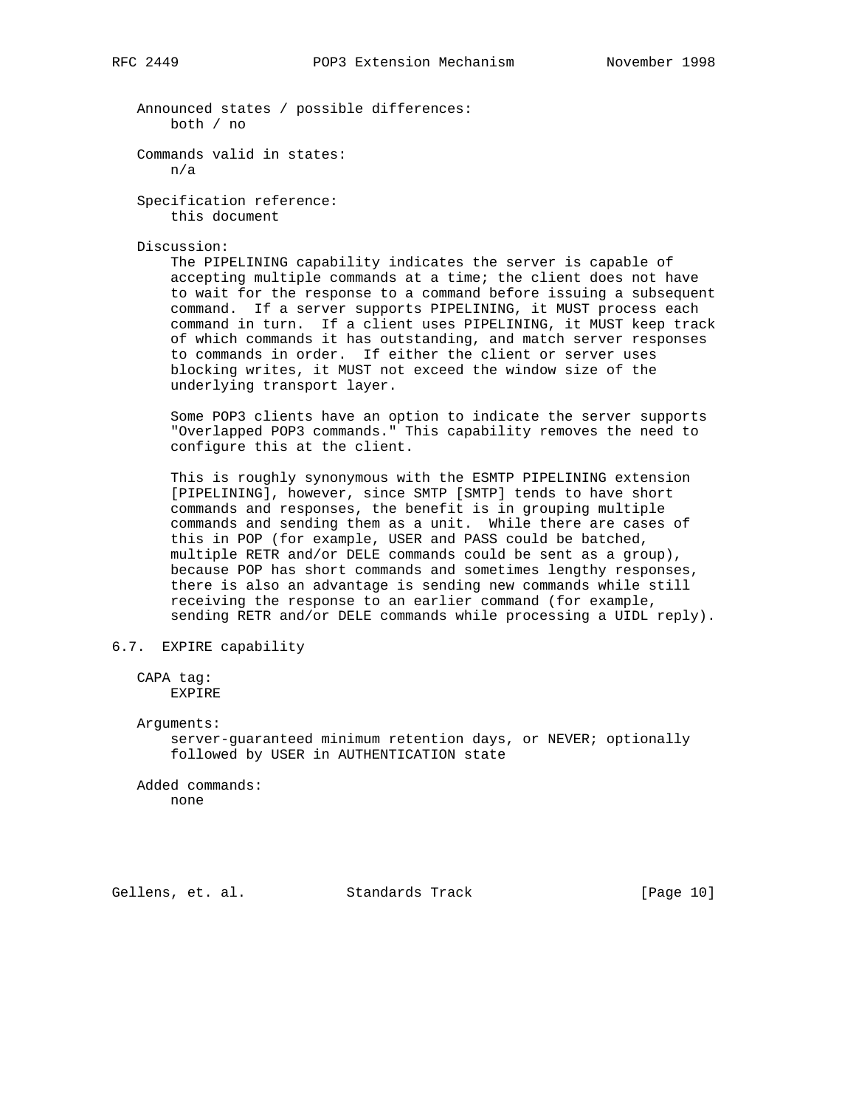Announced states / possible differences: both / no

 Commands valid in states: n/a

 Specification reference: this document

#### Discussion:

 The PIPELINING capability indicates the server is capable of accepting multiple commands at a time; the client does not have to wait for the response to a command before issuing a subsequent command. If a server supports PIPELINING, it MUST process each command in turn. If a client uses PIPELINING, it MUST keep track of which commands it has outstanding, and match server responses to commands in order. If either the client or server uses blocking writes, it MUST not exceed the window size of the underlying transport layer.

 Some POP3 clients have an option to indicate the server supports "Overlapped POP3 commands." This capability removes the need to configure this at the client.

 This is roughly synonymous with the ESMTP PIPELINING extension [PIPELINING], however, since SMTP [SMTP] tends to have short commands and responses, the benefit is in grouping multiple commands and sending them as a unit. While there are cases of this in POP (for example, USER and PASS could be batched, multiple RETR and/or DELE commands could be sent as a group), because POP has short commands and sometimes lengthy responses, there is also an advantage is sending new commands while still receiving the response to an earlier command (for example, sending RETR and/or DELE commands while processing a UIDL reply).

- 6.7. EXPIRE capability
	- CAPA tag: EXPIRE

Arguments:

 server-guaranteed minimum retention days, or NEVER; optionally followed by USER in AUTHENTICATION state

 Added commands: none

Gellens, et. al. Standards Track [Page 10]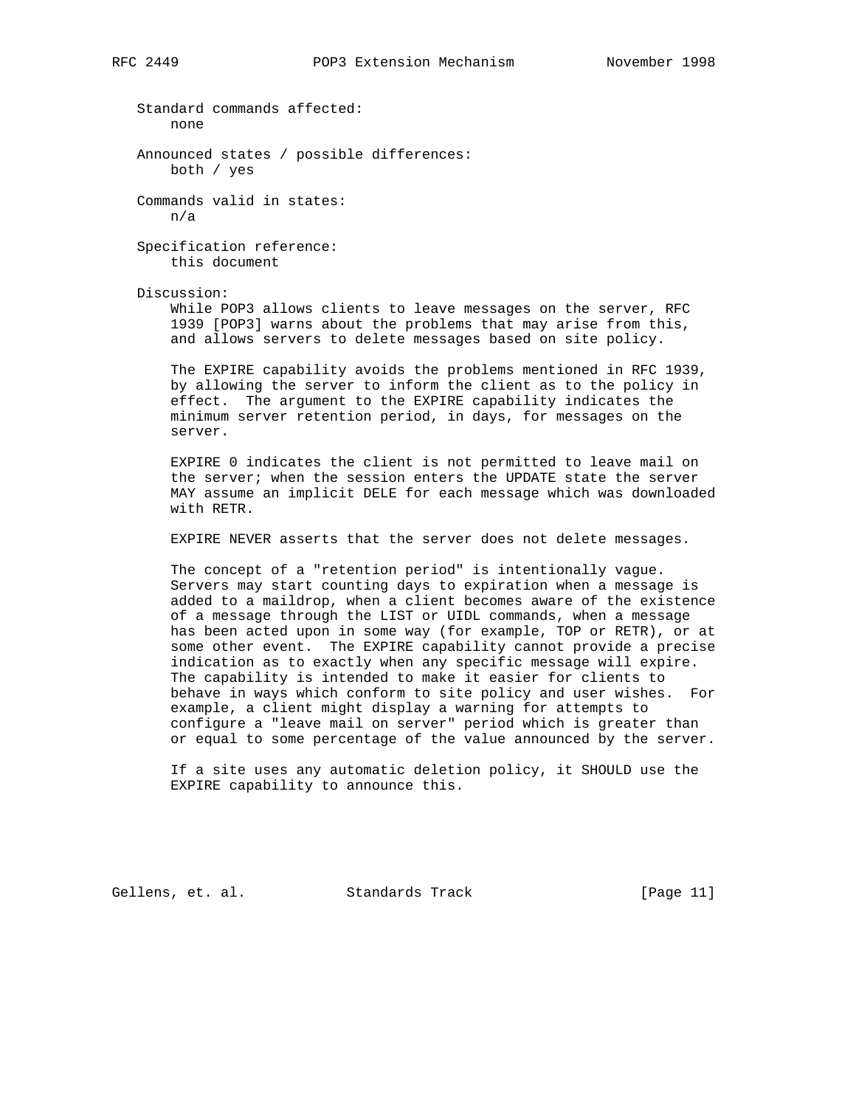Standard commands affected: none Announced states / possible differences: both / yes Commands valid in states: n/a Specification reference: this document Discussion:

 While POP3 allows clients to leave messages on the server, RFC 1939 [POP3] warns about the problems that may arise from this, and allows servers to delete messages based on site policy.

 The EXPIRE capability avoids the problems mentioned in RFC 1939, by allowing the server to inform the client as to the policy in effect. The argument to the EXPIRE capability indicates the minimum server retention period, in days, for messages on the server.

 EXPIRE 0 indicates the client is not permitted to leave mail on the server; when the session enters the UPDATE state the server MAY assume an implicit DELE for each message which was downloaded with RETR.

EXPIRE NEVER asserts that the server does not delete messages.

 The concept of a "retention period" is intentionally vague. Servers may start counting days to expiration when a message is added to a maildrop, when a client becomes aware of the existence of a message through the LIST or UIDL commands, when a message has been acted upon in some way (for example, TOP or RETR), or at some other event. The EXPIRE capability cannot provide a precise indication as to exactly when any specific message will expire. The capability is intended to make it easier for clients to behave in ways which conform to site policy and user wishes. For example, a client might display a warning for attempts to configure a "leave mail on server" period which is greater than or equal to some percentage of the value announced by the server.

 If a site uses any automatic deletion policy, it SHOULD use the EXPIRE capability to announce this.

Gellens, et. al. Standards Track [Page 11]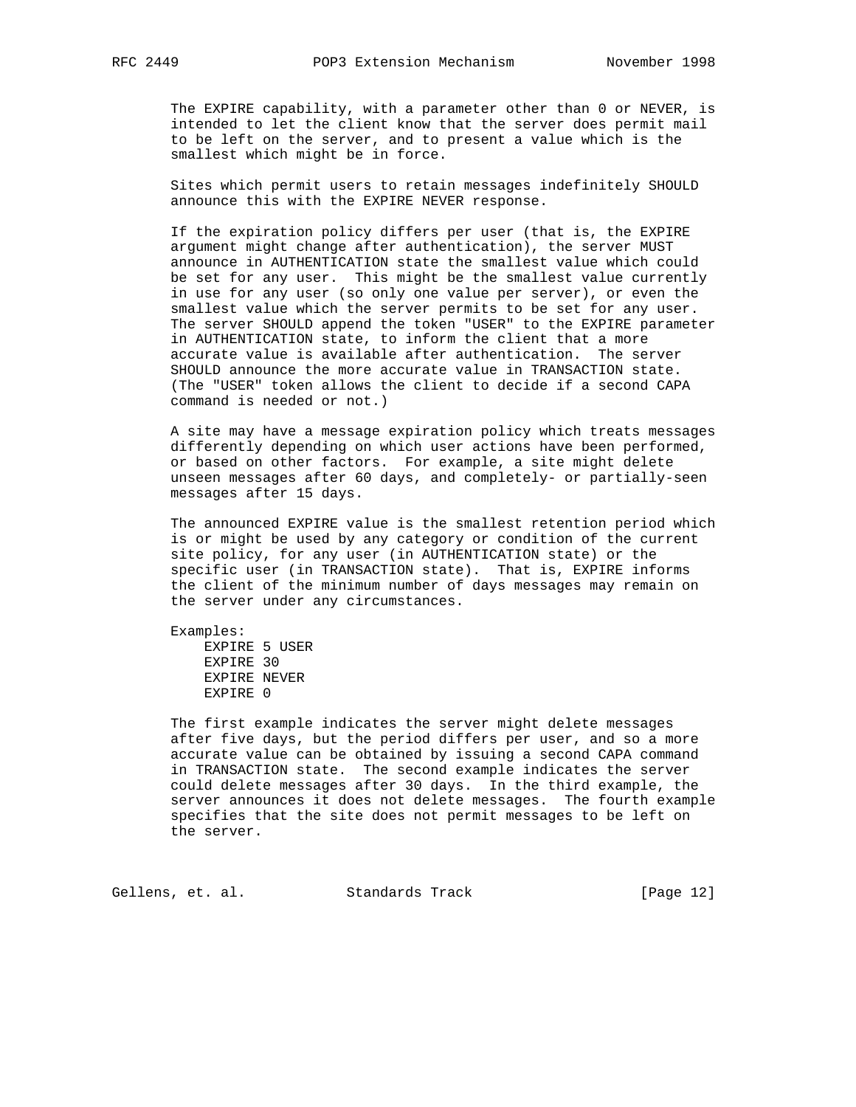The EXPIRE capability, with a parameter other than 0 or NEVER, is intended to let the client know that the server does permit mail to be left on the server, and to present a value which is the smallest which might be in force.

 Sites which permit users to retain messages indefinitely SHOULD announce this with the EXPIRE NEVER response.

 If the expiration policy differs per user (that is, the EXPIRE argument might change after authentication), the server MUST announce in AUTHENTICATION state the smallest value which could be set for any user. This might be the smallest value currently in use for any user (so only one value per server), or even the smallest value which the server permits to be set for any user. The server SHOULD append the token "USER" to the EXPIRE parameter in AUTHENTICATION state, to inform the client that a more accurate value is available after authentication. The server SHOULD announce the more accurate value in TRANSACTION state. (The "USER" token allows the client to decide if a second CAPA command is needed or not.)

 A site may have a message expiration policy which treats messages differently depending on which user actions have been performed, or based on other factors. For example, a site might delete unseen messages after 60 days, and completely- or partially-seen messages after 15 days.

 The announced EXPIRE value is the smallest retention period which is or might be used by any category or condition of the current site policy, for any user (in AUTHENTICATION state) or the specific user (in TRANSACTION state). That is, EXPIRE informs the client of the minimum number of days messages may remain on the server under any circumstances.

 Examples: EXPIRE 5 USER EXPIRE 30 EXPIRE NEVER EXPIRE 0

 The first example indicates the server might delete messages after five days, but the period differs per user, and so a more accurate value can be obtained by issuing a second CAPA command in TRANSACTION state. The second example indicates the server could delete messages after 30 days. In the third example, the server announces it does not delete messages. The fourth example specifies that the site does not permit messages to be left on the server.

Gellens, et. al. Standards Track [Page 12]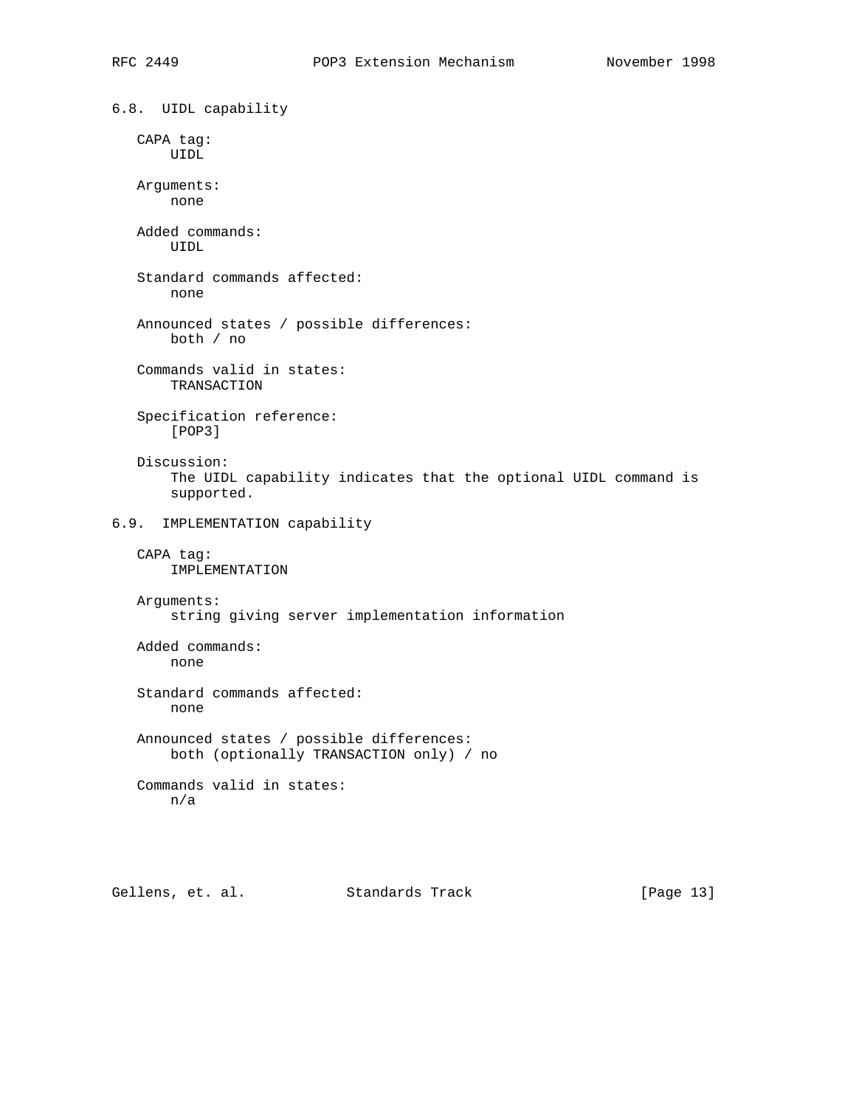6.8. UIDL capability CAPA tag: UIDL Arguments: none Added commands: UIDL Standard commands affected: none Announced states / possible differences: both / no Commands valid in states: TRANSACTION Specification reference: [POP3] Discussion: The UIDL capability indicates that the optional UIDL command is supported. 6.9. IMPLEMENTATION capability CAPA tag: IMPLEMENTATION Arguments: string giving server implementation information Added commands: none Standard commands affected: none Announced states / possible differences: both (optionally TRANSACTION only) / no Commands valid in states: n/a

Gellens, et. al. Standards Track [Page 13]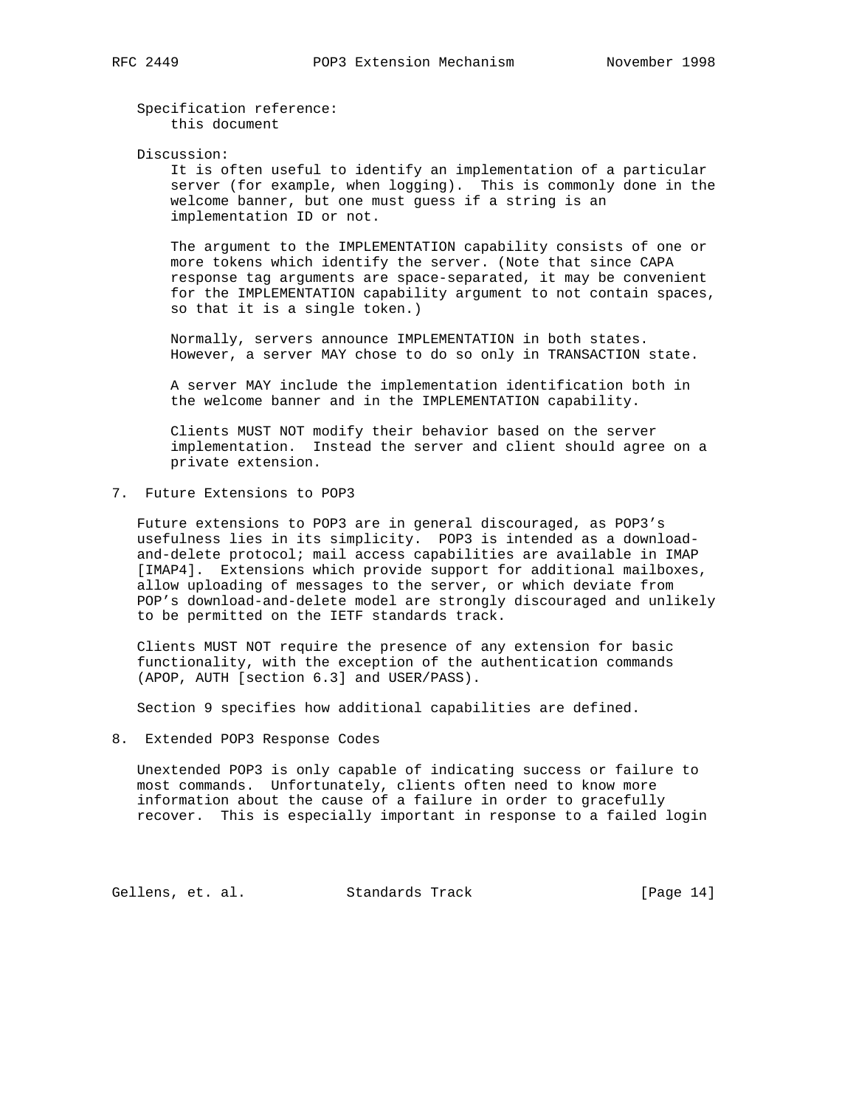Specification reference: this document

Discussion:

 It is often useful to identify an implementation of a particular server (for example, when logging). This is commonly done in the welcome banner, but one must guess if a string is an implementation ID or not.

 The argument to the IMPLEMENTATION capability consists of one or more tokens which identify the server. (Note that since CAPA response tag arguments are space-separated, it may be convenient for the IMPLEMENTATION capability argument to not contain spaces, so that it is a single token.)

 Normally, servers announce IMPLEMENTATION in both states. However, a server MAY chose to do so only in TRANSACTION state.

 A server MAY include the implementation identification both in the welcome banner and in the IMPLEMENTATION capability.

 Clients MUST NOT modify their behavior based on the server implementation. Instead the server and client should agree on a private extension.

7. Future Extensions to POP3

 Future extensions to POP3 are in general discouraged, as POP3's usefulness lies in its simplicity. POP3 is intended as a download and-delete protocol; mail access capabilities are available in IMAP [IMAP4]. Extensions which provide support for additional mailboxes, allow uploading of messages to the server, or which deviate from POP's download-and-delete model are strongly discouraged and unlikely to be permitted on the IETF standards track.

 Clients MUST NOT require the presence of any extension for basic functionality, with the exception of the authentication commands (APOP, AUTH [section 6.3] and USER/PASS).

Section 9 specifies how additional capabilities are defined.

8. Extended POP3 Response Codes

 Unextended POP3 is only capable of indicating success or failure to most commands. Unfortunately, clients often need to know more information about the cause of a failure in order to gracefully recover. This is especially important in response to a failed login

Gellens, et. al. Standards Track [Page 14]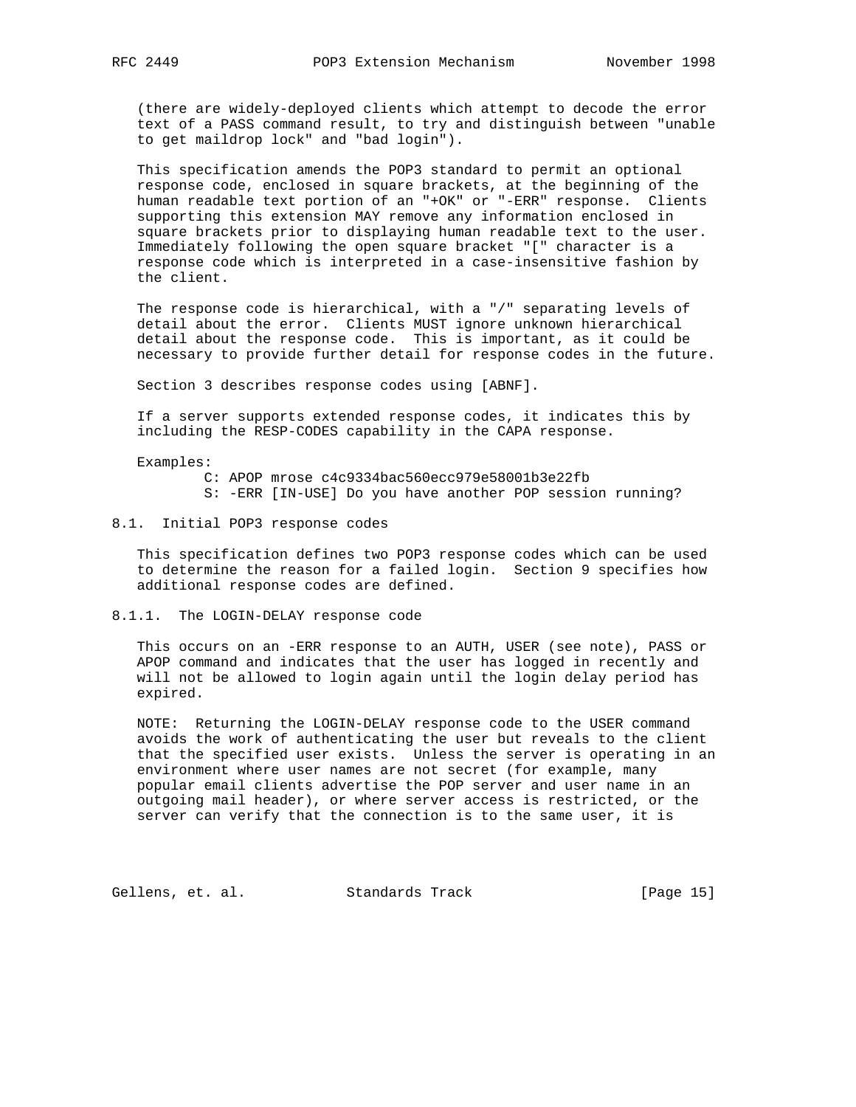(there are widely-deployed clients which attempt to decode the error text of a PASS command result, to try and distinguish between "unable to get maildrop lock" and "bad login").

 This specification amends the POP3 standard to permit an optional response code, enclosed in square brackets, at the beginning of the human readable text portion of an "+OK" or "-ERR" response. Clients supporting this extension MAY remove any information enclosed in square brackets prior to displaying human readable text to the user. Immediately following the open square bracket "[" character is a response code which is interpreted in a case-insensitive fashion by the client.

 The response code is hierarchical, with a "/" separating levels of detail about the error. Clients MUST ignore unknown hierarchical detail about the response code. This is important, as it could be necessary to provide further detail for response codes in the future.

Section 3 describes response codes using [ABNF].

 If a server supports extended response codes, it indicates this by including the RESP-CODES capability in the CAPA response.

Examples:

 C: APOP mrose c4c9334bac560ecc979e58001b3e22fb S: -ERR [IN-USE] Do you have another POP session running?

### 8.1. Initial POP3 response codes

 This specification defines two POP3 response codes which can be used to determine the reason for a failed login. Section 9 specifies how additional response codes are defined.

### 8.1.1. The LOGIN-DELAY response code

 This occurs on an -ERR response to an AUTH, USER (see note), PASS or APOP command and indicates that the user has logged in recently and will not be allowed to login again until the login delay period has expired.

 NOTE: Returning the LOGIN-DELAY response code to the USER command avoids the work of authenticating the user but reveals to the client that the specified user exists. Unless the server is operating in an environment where user names are not secret (for example, many popular email clients advertise the POP server and user name in an outgoing mail header), or where server access is restricted, or the server can verify that the connection is to the same user, it is

Gellens, et. al. Standards Track [Page 15]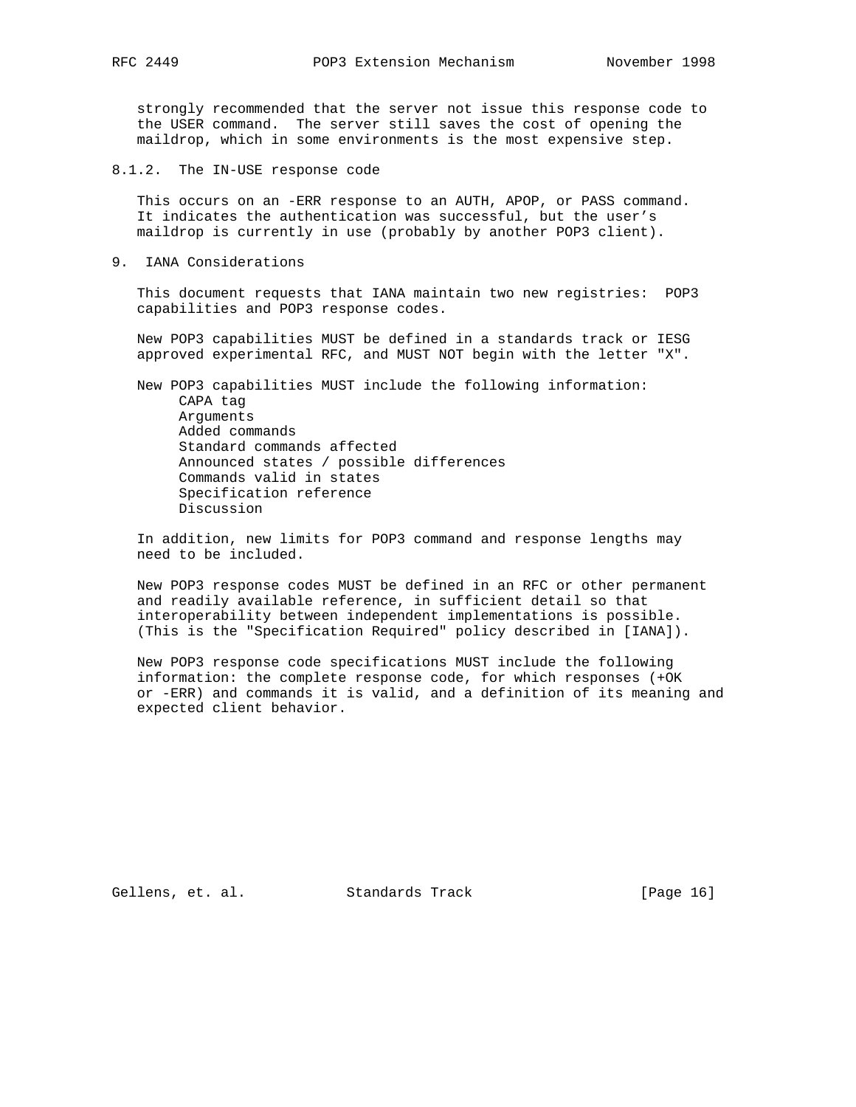strongly recommended that the server not issue this response code to the USER command. The server still saves the cost of opening the maildrop, which in some environments is the most expensive step.

8.1.2. The IN-USE response code

 This occurs on an -ERR response to an AUTH, APOP, or PASS command. It indicates the authentication was successful, but the user's maildrop is currently in use (probably by another POP3 client).

9. IANA Considerations

 This document requests that IANA maintain two new registries: POP3 capabilities and POP3 response codes.

 New POP3 capabilities MUST be defined in a standards track or IESG approved experimental RFC, and MUST NOT begin with the letter "X".

 New POP3 capabilities MUST include the following information: CAPA tag Arguments Added commands Standard commands affected Announced states / possible differences Commands valid in states Specification reference Discussion

 In addition, new limits for POP3 command and response lengths may need to be included.

 New POP3 response codes MUST be defined in an RFC or other permanent and readily available reference, in sufficient detail so that interoperability between independent implementations is possible. (This is the "Specification Required" policy described in [IANA]).

 New POP3 response code specifications MUST include the following information: the complete response code, for which responses (+OK or -ERR) and commands it is valid, and a definition of its meaning and expected client behavior.

Gellens, et. al. Standards Track [Page 16]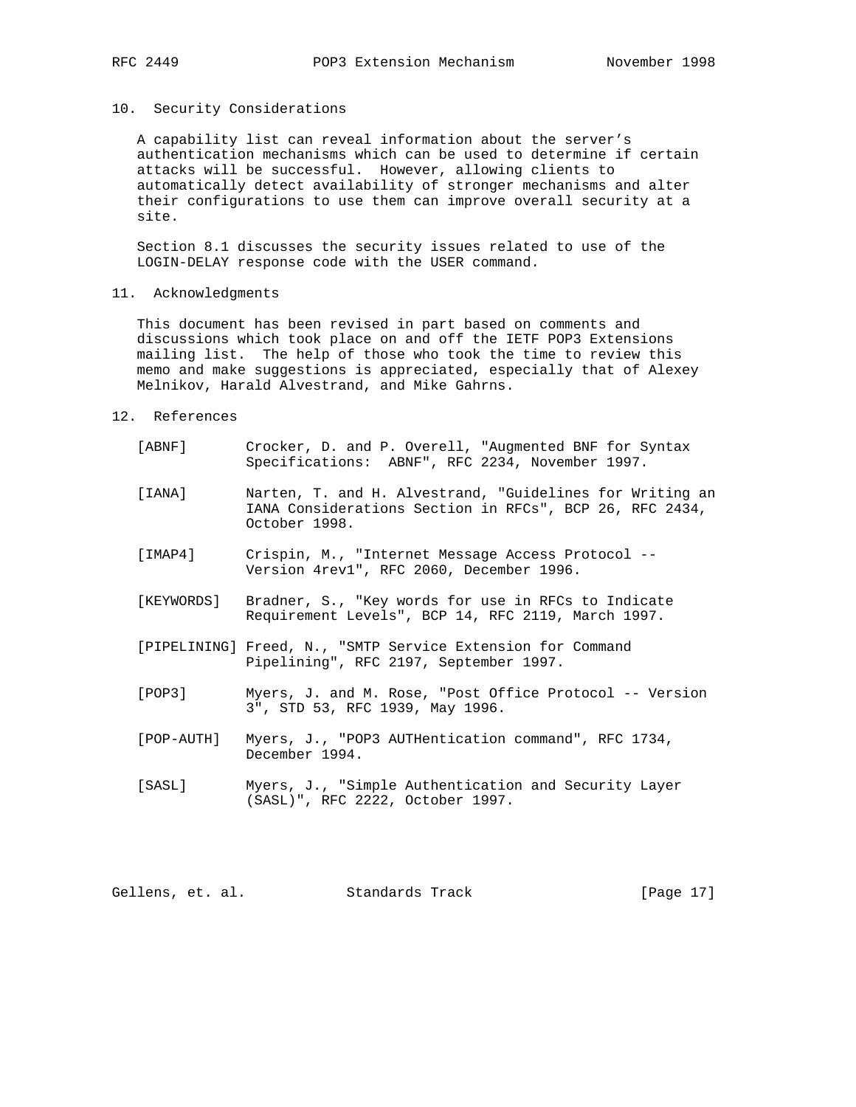## 10. Security Considerations

 A capability list can reveal information about the server's authentication mechanisms which can be used to determine if certain attacks will be successful. However, allowing clients to automatically detect availability of stronger mechanisms and alter their configurations to use them can improve overall security at a site.

 Section 8.1 discusses the security issues related to use of the LOGIN-DELAY response code with the USER command.

#### 11. Acknowledgments

 This document has been revised in part based on comments and discussions which took place on and off the IETF POP3 Extensions mailing list. The help of those who took the time to review this memo and make suggestions is appreciated, especially that of Alexey Melnikov, Harald Alvestrand, and Mike Gahrns.

## 12. References

| [ABNF]     | Crocker, D. and P. Overell, "Augmented BNF for Syntax<br>Specifications: ABNF", RFC 2234, November 1997.                             |
|------------|--------------------------------------------------------------------------------------------------------------------------------------|
| [IANA]     | Narten, T. and H. Alvestrand, "Guidelines for Writing an<br>IANA Considerations Section in RFCs", BCP 26, RFC 2434,<br>October 1998. |
| [IMAP4]    | Crispin, M., "Internet Message Access Protocol --<br>Version 4rev1", RFC 2060, December 1996.                                        |
| [KEYWORDS] | Bradner, S., "Key words for use in RFCs to Indicate<br>Requirement Levels", BCP 14, RFC 2119, March 1997.                            |
|            | [PIPELINING] Freed, N., "SMTP Service Extension for Command<br>Pipelining", RFC 2197, September 1997.                                |
| [POP3]     | Myers, J. and M. Rose, "Post Office Protocol -- Version<br>3", STD 53, RFC 1939, May 1996.                                           |
| [POP-AUTH] | Myers, J., "POP3 AUTHentication command", RFC 1734,<br>December 1994.                                                                |
| [SASL]     | Myers, J., "Simple Authentication and Security Layer<br>(SASL)", RFC 2222, October 1997.                                             |
|            |                                                                                                                                      |

Gellens, et. al. Standards Track [Page 17]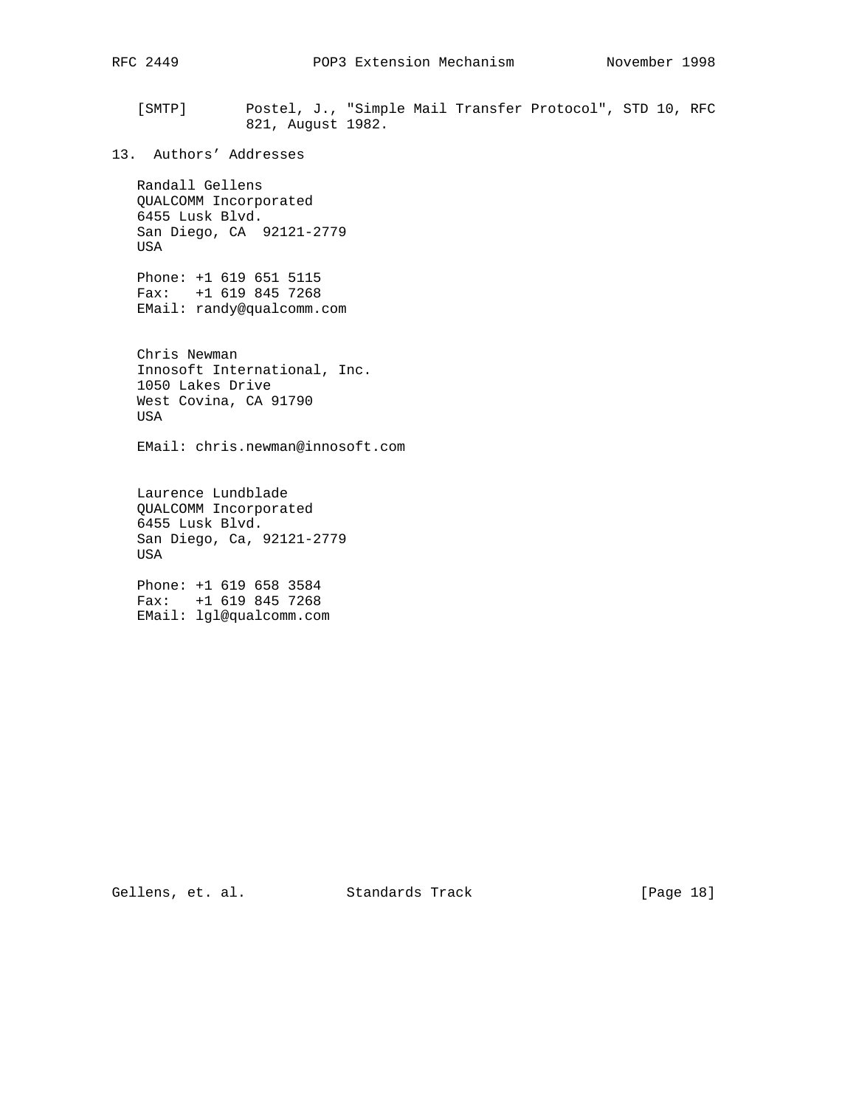[SMTP] Postel, J., "Simple Mail Transfer Protocol", STD 10, RFC 821, August 1982.

13. Authors' Addresses

 Randall Gellens QUALCOMM Incorporated 6455 Lusk Blvd. San Diego, CA 92121-2779 USA

 Phone: +1 619 651 5115 Fax: +1 619 845 7268 EMail: randy@qualcomm.com

 Chris Newman Innosoft International, Inc. 1050 Lakes Drive West Covina, CA 91790 USA

EMail: chris.newman@innosoft.com

 Laurence Lundblade QUALCOMM Incorporated 6455 Lusk Blvd. San Diego, Ca, 92121-2779 USA

 Phone: +1 619 658 3584 Fax: +1 619 845 7268 EMail: lgl@qualcomm.com

Gellens, et. al. Standards Track [Page 18]